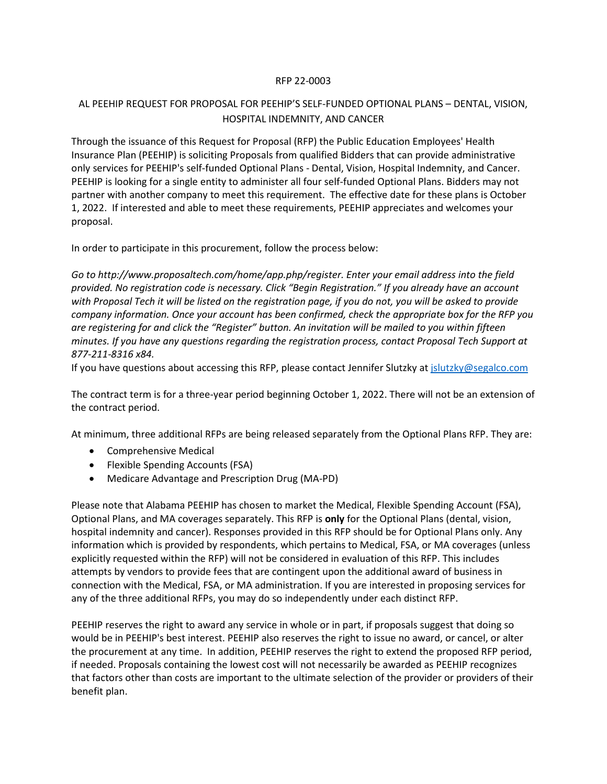## RFP 22-0003

## AL PEEHIP REQUEST FOR PROPOSAL FOR PEEHIP'S SELF-FUNDED OPTIONAL PLANS – DENTAL, VISION, HOSPITAL INDEMNITY, AND CANCER

Through the issuance of this Request for Proposal (RFP) the Public Education Employees' Health Insurance Plan (PEEHIP) is soliciting Proposals from qualified Bidders that can provide administrative only services for PEEHIP's self-funded Optional Plans - Dental, Vision, Hospital Indemnity, and Cancer. PEEHIP is looking for a single entity to administer all four self-funded Optional Plans. Bidders may not partner with another company to meet this requirement. The effective date for these plans is October 1, 2022. If interested and able to meet these requirements, PEEHIP appreciates and welcomes your proposal.

In order to participate in this procurement, follow the process below:

*Go to http://www.proposaltech.com/home/app.php/register. Enter your email address into the field provided. No registration code is necessary. Click "Begin Registration." If you already have an account with Proposal Tech it will be listed on the registration page, if you do not, you will be asked to provide company information. Once your account has been confirmed, check the appropriate box for the RFP you are registering for and click the "Register" button. An invitation will be mailed to you within fifteen minutes. If you have any questions regarding the registration process, contact Proposal Tech Support at 877-211-8316 x84.*

If you have questions about accessing this RFP, please contact Jennifer Slutzky a[t jslutzky@segalco.com](mailto:jslutzky@segalco.com)

The contract term is for a three-year period beginning October 1, 2022. There will not be an extension of the contract period.

At minimum, three additional RFPs are being released separately from the Optional Plans RFP. They are:

- Comprehensive Medical
- Flexible Spending Accounts (FSA)
- Medicare Advantage and Prescription Drug (MA-PD)

Please note that Alabama PEEHIP has chosen to market the Medical, Flexible Spending Account (FSA), Optional Plans, and MA coverages separately. This RFP is **only** for the Optional Plans (dental, vision, hospital indemnity and cancer). Responses provided in this RFP should be for Optional Plans only. Any information which is provided by respondents, which pertains to Medical, FSA, or MA coverages (unless explicitly requested within the RFP) will not be considered in evaluation of this RFP. This includes attempts by vendors to provide fees that are contingent upon the additional award of business in connection with the Medical, FSA, or MA administration. If you are interested in proposing services for any of the three additional RFPs, you may do so independently under each distinct RFP.

PEEHIP reserves the right to award any service in whole or in part, if proposals suggest that doing so would be in PEEHIP's best interest. PEEHIP also reserves the right to issue no award, or cancel, or alter the procurement at any time. In addition, PEEHIP reserves the right to extend the proposed RFP period, if needed. Proposals containing the lowest cost will not necessarily be awarded as PEEHIP recognizes that factors other than costs are important to the ultimate selection of the provider or providers of their benefit plan.